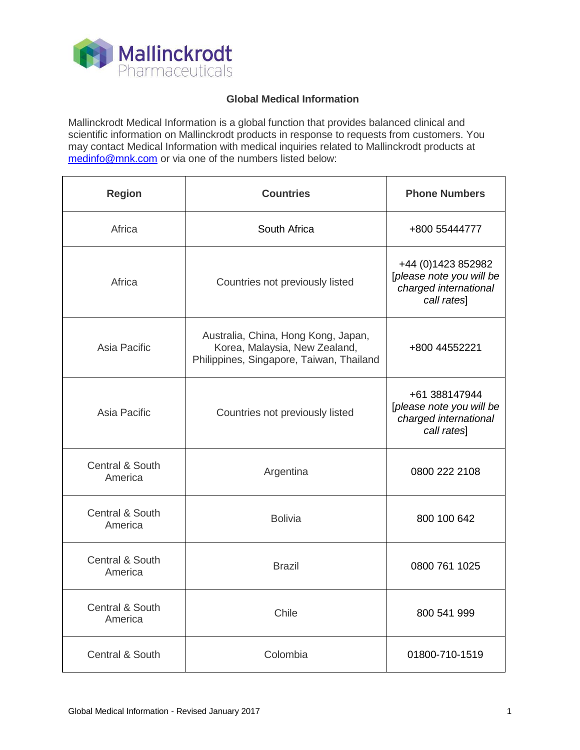

## **Global Medical Information**

Mallinckrodt Medical Information is a global function that provides balanced clinical and scientific information on Mallinckrodt products in response to requests from customers. You may contact Medical Information with medical inquiries related to Mallinckrodt products at [medinfo@mnk.com](mailto:medinfo@mnk.com) or via one of the numbers listed below:

| <b>Region</b>              | <b>Countries</b>                                                                                                 | <b>Phone Numbers</b>                                                                    |
|----------------------------|------------------------------------------------------------------------------------------------------------------|-----------------------------------------------------------------------------------------|
| Africa                     | South Africa                                                                                                     | +800 55444777                                                                           |
| Africa                     | Countries not previously listed                                                                                  | +44 (0) 1423 852982<br>[please note you will be<br>charged international<br>call rates] |
| Asia Pacific               | Australia, China, Hong Kong, Japan,<br>Korea, Malaysia, New Zealand,<br>Philippines, Singapore, Taiwan, Thailand | +800 44552221                                                                           |
| Asia Pacific               | Countries not previously listed                                                                                  | +61 388147944<br>[please note you will be<br>charged international<br>call rates]       |
| Central & South<br>America | Argentina                                                                                                        | 0800 222 2108                                                                           |
| Central & South<br>America | <b>Bolivia</b>                                                                                                   | 800 100 642                                                                             |
| Central & South<br>America | <b>Brazil</b>                                                                                                    | 0800 761 1025                                                                           |
| Central & South<br>America | Chile                                                                                                            | 800 541 999                                                                             |
| Central & South            | Colombia                                                                                                         | 01800-710-1519                                                                          |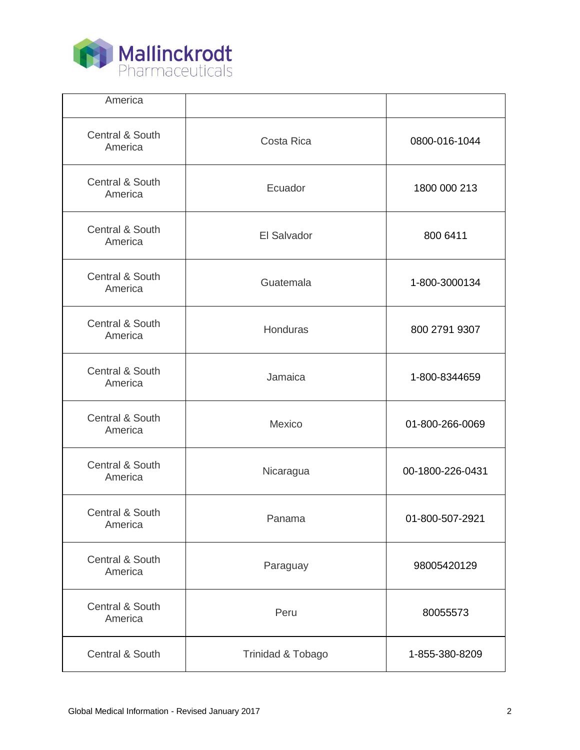

| America                    |                   |                  |
|----------------------------|-------------------|------------------|
| Central & South<br>America | Costa Rica        | 0800-016-1044    |
| Central & South<br>America | Ecuador           | 1800 000 213     |
| Central & South<br>America | El Salvador       | 800 6411         |
| Central & South<br>America | Guatemala         | 1-800-3000134    |
| Central & South<br>America | Honduras          | 800 2791 9307    |
| Central & South<br>America | Jamaica           | 1-800-8344659    |
| Central & South<br>America | Mexico            | 01-800-266-0069  |
| Central & South<br>America | Nicaragua         | 00-1800-226-0431 |
| Central & South<br>America | Panama            | 01-800-507-2921  |
| Central & South<br>America | Paraguay          | 98005420129      |
| Central & South<br>America | Peru              | 80055573         |
| Central & South            | Trinidad & Tobago | 1-855-380-8209   |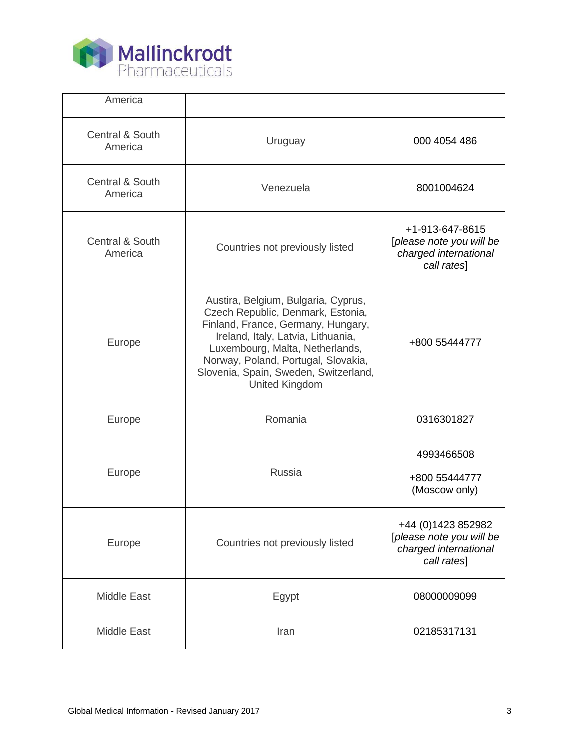

| America                               |                                                                                                                                                                                                                                                                                                  |                                                                                         |
|---------------------------------------|--------------------------------------------------------------------------------------------------------------------------------------------------------------------------------------------------------------------------------------------------------------------------------------------------|-----------------------------------------------------------------------------------------|
| <b>Central &amp; South</b><br>America | Uruguay                                                                                                                                                                                                                                                                                          | 000 4054 486                                                                            |
| <b>Central &amp; South</b><br>America | Venezuela                                                                                                                                                                                                                                                                                        | 8001004624                                                                              |
| Central & South<br>America            | Countries not previously listed                                                                                                                                                                                                                                                                  | +1-913-647-8615<br>[please note you will be<br>charged international<br>call rates]     |
| Europe                                | Austira, Belgium, Bulgaria, Cyprus,<br>Czech Republic, Denmark, Estonia,<br>Finland, France, Germany, Hungary,<br>Ireland, Italy, Latvia, Lithuania,<br>Luxembourg, Malta, Netherlands,<br>Norway, Poland, Portugal, Slovakia,<br>Slovenia, Spain, Sweden, Switzerland,<br><b>United Kingdom</b> | +800 55444777                                                                           |
| Europe                                | Romania                                                                                                                                                                                                                                                                                          | 0316301827                                                                              |
| Europe                                | <b>Russia</b>                                                                                                                                                                                                                                                                                    | 4993466508<br>+800 55444777<br>(Moscow only)                                            |
| Europe                                | Countries not previously listed                                                                                                                                                                                                                                                                  | +44 (0) 1423 852982<br>[please note you will be<br>charged international<br>call rates] |
| <b>Middle East</b>                    | Egypt                                                                                                                                                                                                                                                                                            | 08000009099                                                                             |
| <b>Middle East</b>                    | Iran                                                                                                                                                                                                                                                                                             | 02185317131                                                                             |